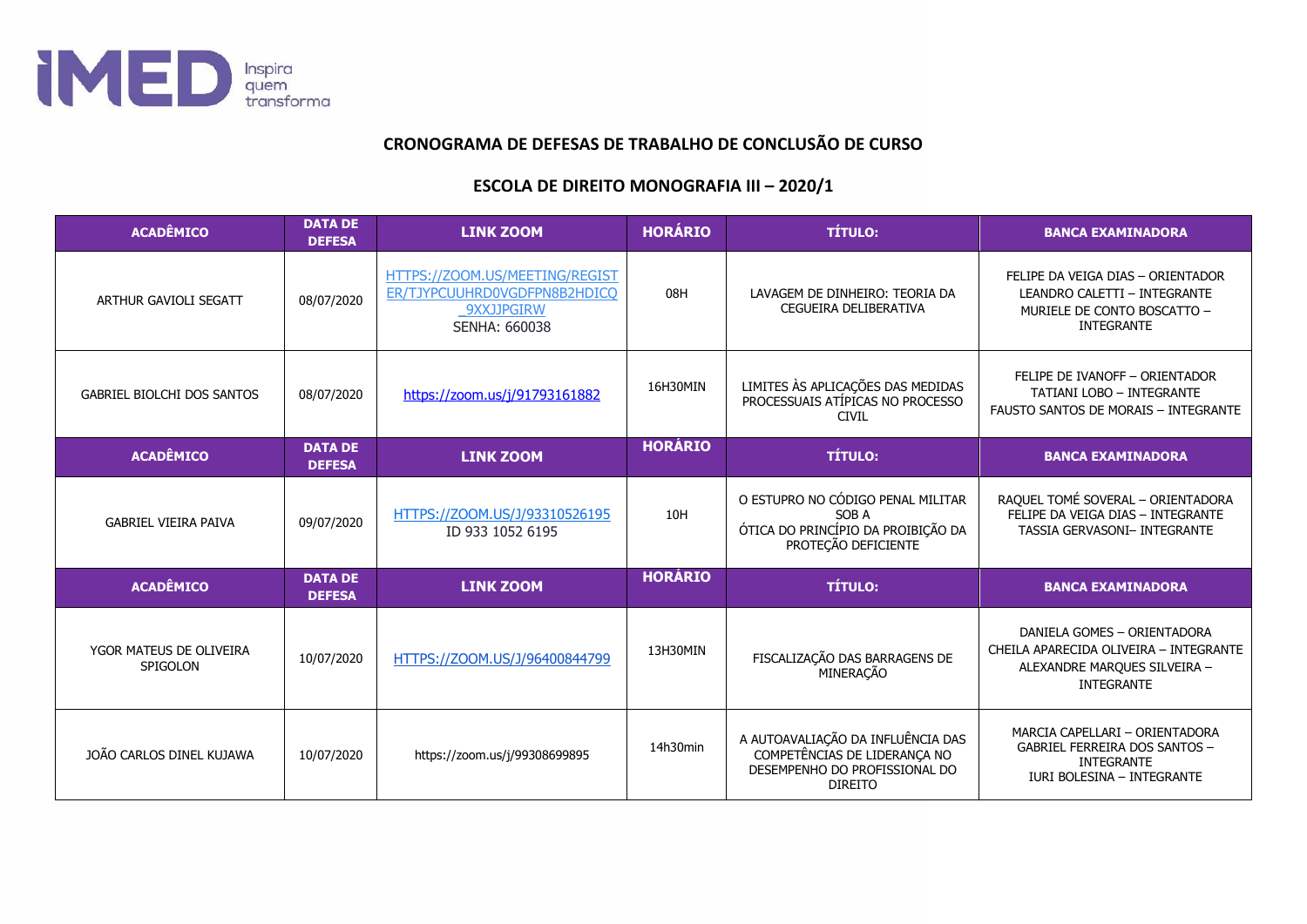

## **CRONOGRAMA DE DEFESAS DE TRABALHO DE CONCLUSÃO DE CURSO**

## **ESCOLA DE DIREITO MONOGRAFIA III – 2020/1**

| <b>ACADÊMICO</b>                    | <b>DATA DE</b><br><b>DEFESA</b> | <b>LINK ZOOM</b>                                                                                     | <b>HORÁRIO</b> | <b>TÍTULO:</b>                                                                                                       | <b>BANCA EXAMINADORA</b>                                                                                                   |
|-------------------------------------|---------------------------------|------------------------------------------------------------------------------------------------------|----------------|----------------------------------------------------------------------------------------------------------------------|----------------------------------------------------------------------------------------------------------------------------|
| ARTHUR GAVIOLI SEGATT               | 08/07/2020                      | HTTPS://ZOOM.US/MEETING/REGIST<br>ER/TJYPCUUHRD0VGDFPN8B2HDICQ<br><b>9XXJJPGIRW</b><br>SENHA: 660038 | 08H            | LAVAGEM DE DINHEIRO: TEORIA DA<br>CEGUEIRA DELIBERATIVA                                                              | FELIPE DA VEIGA DIAS - ORIENTADOR<br>LEANDRO CALETTI - INTEGRANTE<br>MURIELE DE CONTO BOSCATTO -<br><b>INTEGRANTE</b>      |
| <b>GABRIEL BIOLCHI DOS SANTOS</b>   | 08/07/2020                      | https://zoom.us/j/91793161882                                                                        | 16H30MIN       | LIMITES ÀS APLICAÇÕES DAS MEDIDAS<br>PROCESSUAIS ATÍPICAS NO PROCESSO<br><b>CIVIL</b>                                | FELIPE DE IVANOFF - ORIENTADOR<br><b>TATIANI LOBO - INTEGRANTE</b><br><b>FAUSTO SANTOS DE MORAIS - INTEGRANTE</b>          |
| <b>ACADÊMICO</b>                    | <b>DATA DE</b><br><b>DEFESA</b> | <b>LINK ZOOM</b>                                                                                     | <b>HORÁRIO</b> | <b>TÍTULO:</b>                                                                                                       | <b>BANCA EXAMINADORA</b>                                                                                                   |
| <b>GABRIEL VIEIRA PAIVA</b>         | 09/07/2020                      | HTTPS://ZOOM.US/J/93310526195<br>ID 933 1052 6195                                                    | 10H            | O ESTUPRO NO CÓDIGO PENAL MILITAR<br>SOB A<br>ÓTICA DO PRINCÍPIO DA PROIBIÇÃO DA<br>PROTEÇÃO DEFICIENTE              | RAQUEL TOMÉ SOVERAL - ORIENTADORA<br>FELIPE DA VEIGA DIAS - INTEGRANTE<br>TASSIA GERVASONI- INTEGRANTE                     |
| <b>ACADÊMICO</b>                    | <b>DATA DE</b><br><b>DEFESA</b> | <b>LINK ZOOM</b>                                                                                     | <b>HORÁRIO</b> | <b>TÍTULO:</b>                                                                                                       | <b>BANCA EXAMINADORA</b>                                                                                                   |
| YGOR MATEUS DE OLIVEIRA<br>SPIGOLON | 10/07/2020                      | HTTPS://ZOOM.US/J/96400844799                                                                        | 13H30MIN       | FISCALIZAÇÃO DAS BARRAGENS DE<br>MINERAÇÃO                                                                           | DANIELA GOMES - ORIENTADORA<br>CHEILA APARECIDA OLIVEIRA - INTEGRANTE<br>ALEXANDRE MARQUES SILVEIRA -<br><b>INTEGRANTE</b> |
| JOÃO CARLOS DINEL KUJAWA            | 10/07/2020                      | https://zoom.us/j/99308699895                                                                        | 14h30min       | A AUTOAVALIAÇÃO DA INFLUÊNCIA DAS<br>COMPETÊNCIAS DE LIDERANÇA NO<br>DESEMPENHO DO PROFISSIONAL DO<br><b>DIREITO</b> | MARCIA CAPELLARI - ORIENTADORA<br><b>GABRIEL FERREIRA DOS SANTOS -</b><br><b>INTEGRANTE</b><br>IURI BOLESINA - INTEGRANTE  |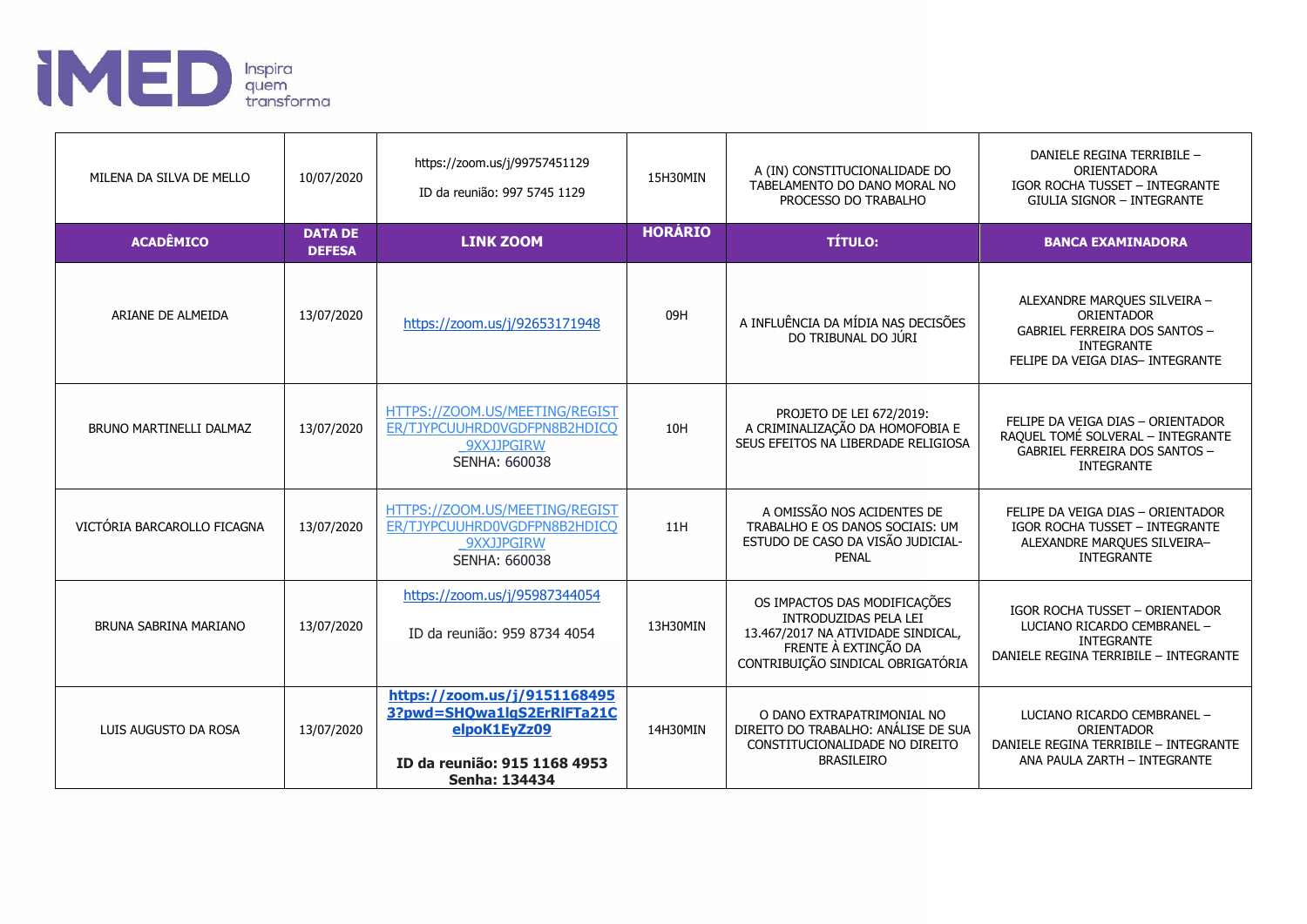

| MILENA DA SILVA DE MELLO    | 10/07/2020                      | https://zoom.us/j/99757451129<br>ID da reunião: 997 5745 1129                                                                      | 15H30MIN       | A (IN) CONSTITUCIONALIDADE DO<br>TABELAMENTO DO DANO MORAL NO<br>PROCESSO DO TRABALHO                                                                    | DANIELE REGINA TERRIBILE -<br>ORIENTADORA<br><b>IGOR ROCHA TUSSET - INTEGRANTE</b><br><b>GIULIA SIGNOR - INTEGRANTE</b>                     |
|-----------------------------|---------------------------------|------------------------------------------------------------------------------------------------------------------------------------|----------------|----------------------------------------------------------------------------------------------------------------------------------------------------------|---------------------------------------------------------------------------------------------------------------------------------------------|
| <b>ACADÊMICO</b>            | <b>DATA DE</b><br><b>DEFESA</b> | <b>LINK ZOOM</b>                                                                                                                   | <b>HORÁRIO</b> | <b>TÍTULO:</b>                                                                                                                                           | <b>BANCA EXAMINADORA</b>                                                                                                                    |
| ARIANE DE ALMEIDA           | 13/07/2020                      | https://zoom.us/j/92653171948                                                                                                      | 09H            | A INFLUÊNCIA DA MÍDIA NAS DECISÕES<br>DO TRIBUNAL DO JÚRI                                                                                                | ALEXANDRE MARQUES SILVEIRA -<br>ORIENTADOR<br><b>GABRIEL FERREIRA DOS SANTOS -</b><br><b>INTEGRANTE</b><br>FELIPE DA VEIGA DIAS- INTEGRANTE |
| BRUNO MARTINELLI DALMAZ     | 13/07/2020                      | HTTPS://ZOOM.US/MEETING/REGIST<br>ER/TJYPCUUHRD0VGDFPN8B2HDICQ<br>9XXJJPGIRW<br>SENHA: 660038                                      | 10H            | PROJETO DE LEI 672/2019:<br>A CRIMINALIZAÇÃO DA HOMOFOBIA E<br>SEUS EFEITOS NA LIBERDADE RELIGIOSA                                                       | FELIPE DA VEIGA DIAS - ORIENTADOR<br>RAQUEL TOMÉ SOLVERAL - INTEGRANTE<br><b>GABRIEL FERREIRA DOS SANTOS -</b><br><b>INTEGRANTE</b>         |
| VICTÓRIA BARCAROLLO FICAGNA | 13/07/2020                      | HTTPS://ZOOM.US/MEETING/REGIST<br>ER/TJYPCUUHRD0VGDFPN8B2HDICO<br>9XXJJPGIRW<br>SENHA: 660038                                      | 11H            | A OMISSÃO NOS ACIDENTES DE<br>TRABALHO E OS DANOS SOCIAIS: UM<br>ESTUDO DE CASO DA VISÃO JUDICIAL-<br><b>PENAL</b>                                       | FELIPE DA VEIGA DIAS - ORIENTADOR<br>IGOR ROCHA TUSSET - INTEGRANTE<br>ALEXANDRE MARQUES SILVEIRA-<br><b>INTEGRANTE</b>                     |
| BRUNA SABRINA MARIANO       | 13/07/2020                      | https://zoom.us/j/95987344054<br>ID da reunião: 959 8734 4054                                                                      | 13H30MIN       | OS IMPACTOS DAS MODIFICAÇÕES<br>INTRODUZIDAS PELA LEI<br>13.467/2017 NA ATIVIDADE SINDICAL,<br>FRENTE À EXTINÇÃO DA<br>CONTRIBUIÇÃO SINDICAL OBRIGATÓRIA | <b>IGOR ROCHA TUSSET - ORIENTADOR</b><br>LUCIANO RICARDO CEMBRANEL -<br><b>INTEGRANTE</b><br>DANIELE REGINA TERRIBILE - INTEGRANTE          |
| LUIS AUGUSTO DA ROSA        | 13/07/2020                      | https://zoom.us/j/9151168495<br>3?pwd=SHQwa1lgS2ErRIFTa21C<br>elpoK1EvZz09<br>ID da reunião: 915 1168 4953<br><b>Senha: 134434</b> | 14H30MIN       | O DANO EXTRAPATRIMONIAL NO<br>DIREITO DO TRABALHO: ANÁLISE DE SUA<br>CONSTITUCIONALIDADE NO DIREITO<br><b>BRASILEIRO</b>                                 | LUCIANO RICARDO CEMBRANEL -<br>ORIENTADOR<br>DANIELE REGINA TERRIBILE - INTEGRANTE<br>ANA PAULA ZARTH - INTEGRANTE                          |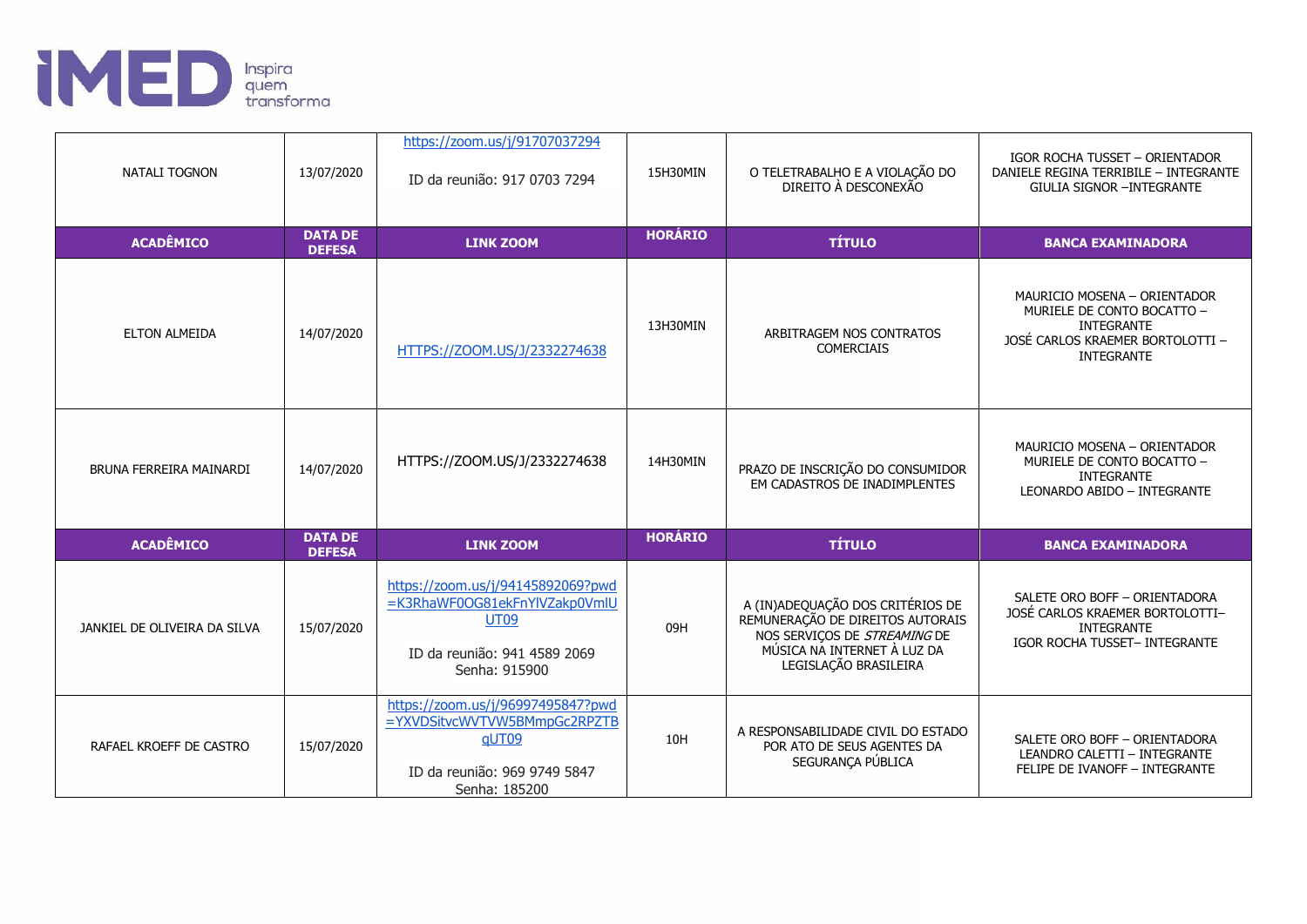

| NATALI TOGNON                | 13/07/2020                      | https://zoom.us/j/91707037294<br>ID da reunião: 917 0703 7294                                                                      | 15H30MIN       | O TELETRABALHO E A VIOLAÇÃO DO<br>DIREITO À DESCONEXÃO                                                                                                       | IGOR ROCHA TUSSET - ORIENTADOR<br>DANIELE REGINA TERRIBILE - INTEGRANTE<br><b>GIULIA SIGNOR -INTEGRANTE</b>                              |
|------------------------------|---------------------------------|------------------------------------------------------------------------------------------------------------------------------------|----------------|--------------------------------------------------------------------------------------------------------------------------------------------------------------|------------------------------------------------------------------------------------------------------------------------------------------|
| <b>ACADÊMICO</b>             | <b>DATA DE</b><br><b>DEFESA</b> | <b>LINK ZOOM</b>                                                                                                                   | <b>HORÁRIO</b> | <b>TÍTULO</b>                                                                                                                                                | <b>BANCA EXAMINADORA</b>                                                                                                                 |
| <b>ELTON ALMEIDA</b>         | 14/07/2020                      | HTTPS://ZOOM.US/J/2332274638                                                                                                       | 13H30MIN       | ARBITRAGEM NOS CONTRATOS<br><b>COMERCIAIS</b>                                                                                                                | MAURICIO MOSENA - ORIENTADOR<br>MURIELE DE CONTO BOCATTO -<br><b>INTEGRANTE</b><br>JOSÉ CARLOS KRAEMER BORTOLOTTI -<br><b>INTEGRANTE</b> |
| BRUNA FERREIRA MAINARDI      | 14/07/2020                      | HTTPS://ZOOM.US/J/2332274638                                                                                                       | 14H30MIN       | PRAZO DE INSCRIÇÃO DO CONSUMIDOR<br>EM CADASTROS DE INADIMPLENTES                                                                                            | MAURICIO MOSENA - ORIENTADOR<br>MURIELE DE CONTO BOCATTO -<br><b>INTEGRANTE</b><br>LEONARDO ABIDO - INTEGRANTE                           |
| <b>ACADÊMICO</b>             | <b>DATA DE</b><br><b>DEFESA</b> | <b>LINK ZOOM</b>                                                                                                                   | <b>HORÁRIO</b> | <b>TÍTULO</b>                                                                                                                                                | <b>BANCA EXAMINADORA</b>                                                                                                                 |
| JANKIEL DE OLIVEIRA DA SILVA | 15/07/2020                      | https://zoom.us/j/94145892069?pwd<br>=K3RhaWF0OG81ekFnYlVZakp0VmlU<br><b>UT09</b><br>ID da reunião: 941 4589 2069<br>Senha: 915900 | 09H            | A (IN)ADEQUAÇÃO DOS CRITÉRIOS DE<br>REMUNERAÇÃO DE DIREITOS AUTORAIS<br>NOS SERVIÇOS DE STREAMING DE<br>MÚSICA NA INTERNET À LUZ DA<br>LEGISLAÇÃO BRASILEIRA | SALETE ORO BOFF - ORIENTADORA<br>JOSÉ CARLOS KRAEMER BORTOLOTTI-<br><b>INTEGRANTE</b><br>IGOR ROCHA TUSSET- INTEGRANTE                   |
| RAFAEL KROEFF DE CASTRO      | 15/07/2020                      | https://zoom.us/j/96997495847?pwd<br>=YXVDSitvcWVTVW5BMmpGc2RPZTB<br>gUT09<br>ID da reunião: 969 9749 5847<br>Senha: 185200        | 10H            | A RESPONSABILIDADE CIVIL DO ESTADO<br>POR ATO DE SEUS AGENTES DA<br>SEGURANÇA PÚBLICA                                                                        | SALETE ORO BOFF - ORIENTADORA<br>LEANDRO CALETTI - INTEGRANTE<br>FELIPE DE IVANOFF - INTEGRANTE                                          |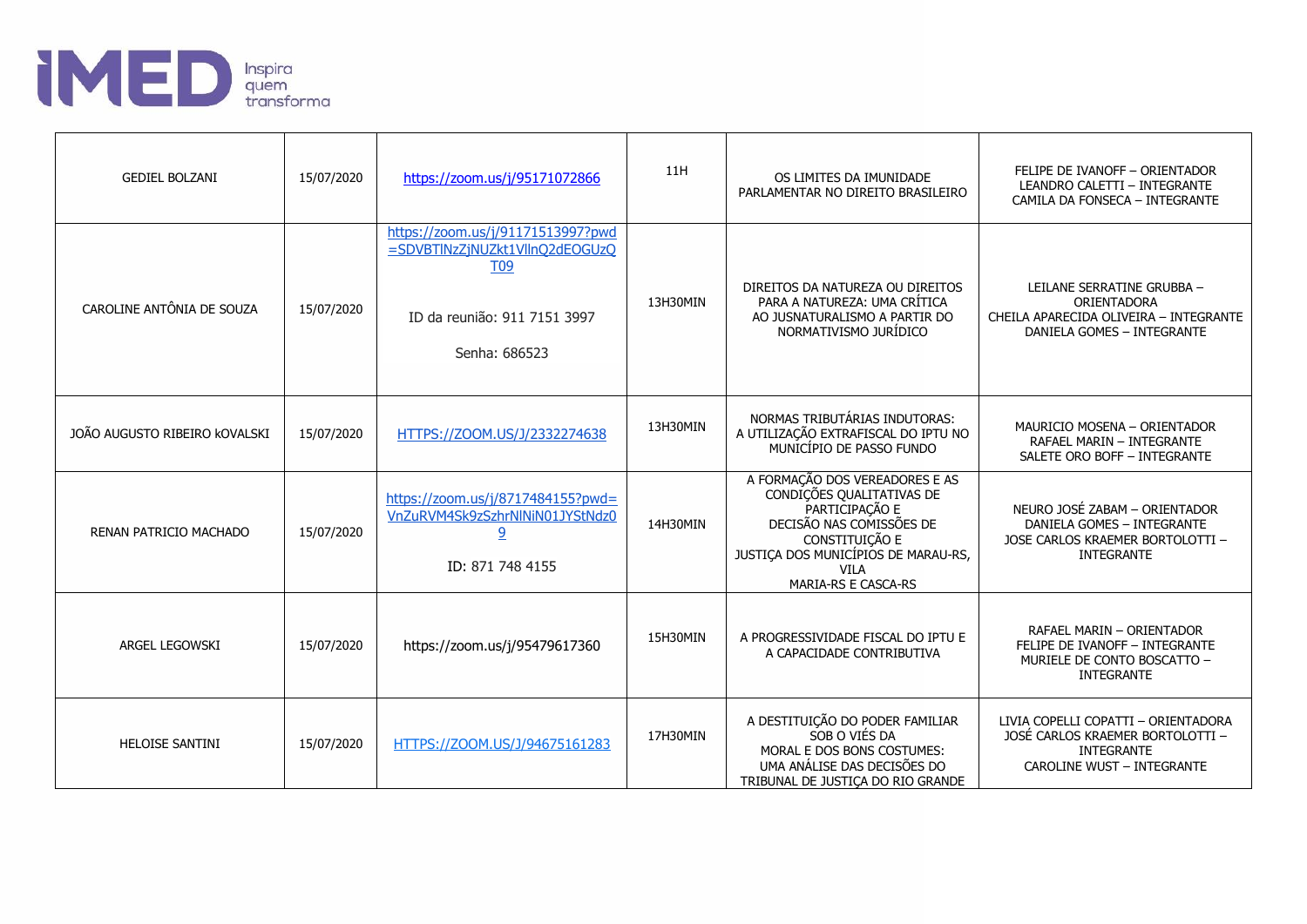

| <b>GEDIEL BOLZANI</b>         | 15/07/2020 | https://zoom.us/j/95171072866                                                                                                      | 11H      | OS LIMITES DA IMUNIDADE<br>PARLAMENTAR NO DIREITO BRASILEIRO                                                                                                                                             | FELIPE DE IVANOFF - ORIENTADOR<br>LEANDRO CALETTI - INTEGRANTE<br>CAMILA DA FONSECA - INTEGRANTE                                  |
|-------------------------------|------------|------------------------------------------------------------------------------------------------------------------------------------|----------|----------------------------------------------------------------------------------------------------------------------------------------------------------------------------------------------------------|-----------------------------------------------------------------------------------------------------------------------------------|
| CAROLINE ANTÔNIA DE SOUZA     | 15/07/2020 | https://zoom.us/j/91171513997?pwd<br>=SDVBTINzZjNUZkt1VllnQ2dEOGUzQ<br><b>T09</b><br>ID da reunião: 911 7151 3997<br>Senha: 686523 | 13H30MIN | DIREITOS DA NATUREZA OU DIREITOS<br>PARA A NATUREZA: UMA CRÍTICA<br>AO JUSNATURALISMO A PARTIR DO<br>NORMATIVISMO JURÍDICO                                                                               | LEILANE SERRATINE GRUBBA -<br>ORIENTADORA<br>CHEILA APARECIDA OLIVEIRA - INTEGRANTE<br>DANIELA GOMES - INTEGRANTE                 |
| JOÃO AUGUSTO RIBEIRO KOVALSKI | 15/07/2020 | HTTPS://ZOOM.US/J/2332274638                                                                                                       | 13H30MIN | NORMAS TRIBUTÁRIAS INDUTORAS:<br>A UTILIZAÇÃO EXTRAFISCAL DO IPTU NO<br>MUNICÍPIO DE PASSO FUNDO                                                                                                         | MAURICIO MOSENA - ORIENTADOR<br>RAFAEL MARIN - INTEGRANTE<br>SALETE ORO BOFF - INTEGRANTE                                         |
| RENAN PATRICIO MACHADO        | 15/07/2020 | https://zoom.us/j/8717484155?pwd=<br>VnZuRVM4Sk9zSzhrNlNiN01JYStNdz0<br>9<br>ID: 871 748 4155                                      | 14H30MIN | A FORMAÇÃO DOS VEREADORES E AS<br>CONDIÇÕES QUALITATIVAS DE<br>PARTICIPAÇÃO E<br>DECISÃO NAS COMISSÕES DE<br>CONSTITUIÇÃO E<br>JUSTIÇA DOS MUNICÍPIOS DE MARAU-RS,<br><b>VILA</b><br>MARIA-RS E CASCA-RS | NEURO JOSÉ ZABAM - ORIENTADOR<br>DANIELA GOMES - INTEGRANTE<br>JOSE CARLOS KRAEMER BORTOLOTTI -<br><b>INTEGRANTE</b>              |
| ARGEL LEGOWSKI                | 15/07/2020 | https://zoom.us/j/95479617360                                                                                                      | 15H30MIN | A PROGRESSIVIDADE FISCAL DO IPTU E<br>A CAPACIDADE CONTRIBUTIVA                                                                                                                                          | RAFAEL MARIN - ORIENTADOR<br>FELIPE DE IVANOFF - INTEGRANTE<br>MURIELE DE CONTO BOSCATTO -<br><b>INTEGRANTE</b>                   |
| <b>HELOISE SANTINI</b>        | 15/07/2020 | HTTPS://ZOOM.US/J/94675161283                                                                                                      | 17H30MIN | A DESTITUIÇÃO DO PODER FAMILIAR<br>SOB O VIÉS DA<br>MORAL E DOS BONS COSTUMES:<br>UMA ANÁLISE DAS DECISÕES DO<br>TRIBUNAL DE JUSTICA DO RIO GRANDE                                                       | LIVIA COPELLI COPATTI - ORIENTADORA<br>JOSÉ CARLOS KRAEMER BORTOLOTTI -<br><b>INTEGRANTE</b><br><b>CAROLINE WUST - INTEGRANTE</b> |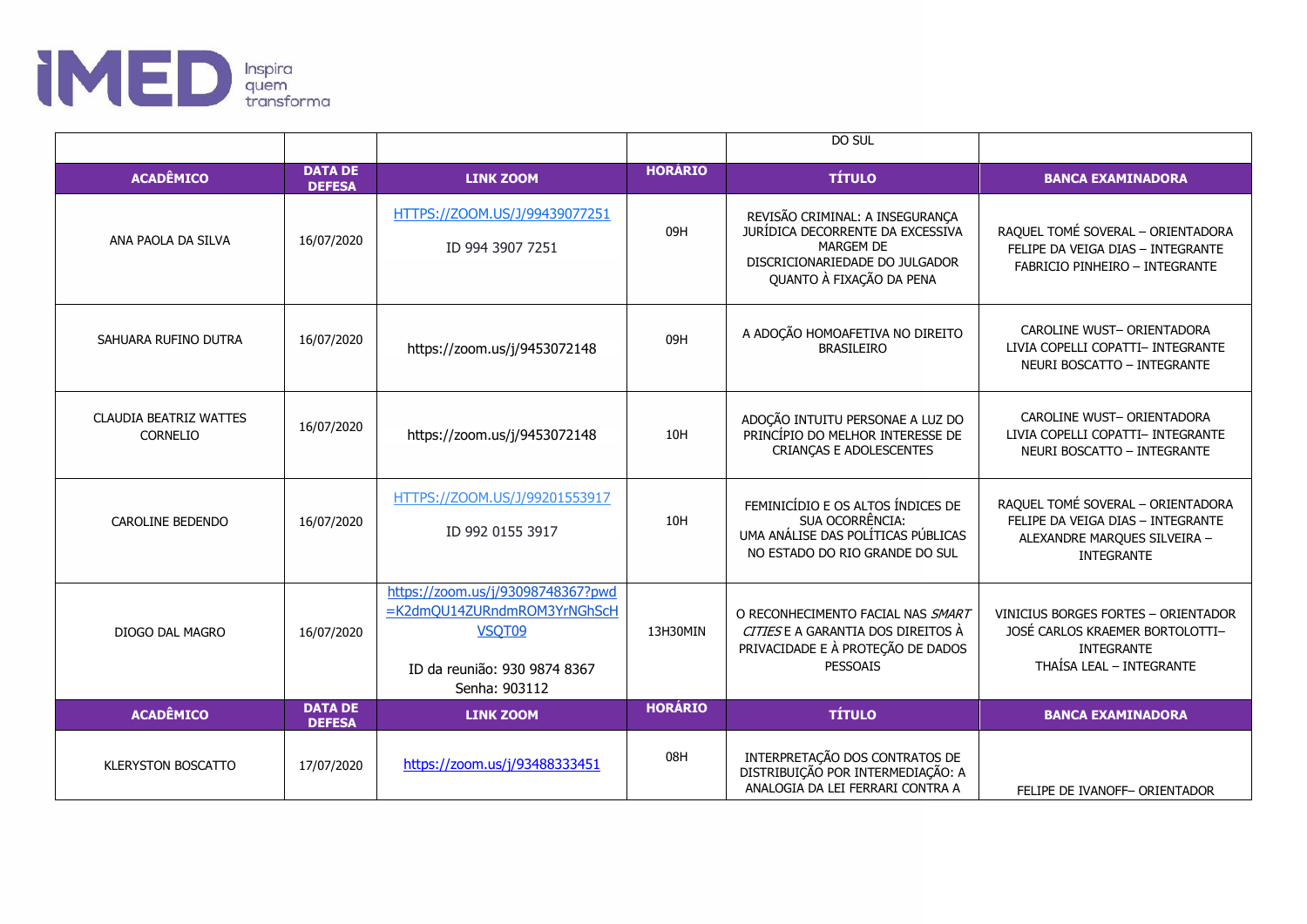

|                                           |                                 |                                                                                                                             |                | DO SUL                                                                                                                                         |                                                                                                                             |
|-------------------------------------------|---------------------------------|-----------------------------------------------------------------------------------------------------------------------------|----------------|------------------------------------------------------------------------------------------------------------------------------------------------|-----------------------------------------------------------------------------------------------------------------------------|
| <b>ACADÊMICO</b>                          | <b>DATA DE</b><br><b>DEFESA</b> | <b>LINK ZOOM</b>                                                                                                            | <b>HORÁRIO</b> | <b>TÍTULO</b>                                                                                                                                  | <b>BANCA EXAMINADORA</b>                                                                                                    |
| ANA PAOLA DA SILVA                        | 16/07/2020                      | HTTPS://ZOOM.US/J/99439077251<br>ID 994 3907 7251                                                                           | 09H            | REVISÃO CRIMINAL: A INSEGURANÇA<br>JURÍDICA DECORRENTE DA EXCESSIVA<br>MARGEM DE<br>DISCRICIONARIEDADE DO JULGADOR<br>QUANTO À FIXAÇÃO DA PENA | RAQUEL TOMÉ SOVERAL - ORIENTADORA<br>FELIPE DA VEIGA DIAS - INTEGRANTE<br><b>FABRICIO PINHEIRO - INTEGRANTE</b>             |
| SAHUARA RUFINO DUTRA                      | 16/07/2020                      | https://zoom.us/j/9453072148                                                                                                | 09H            | A ADOÇÃO HOMOAFETIVA NO DIREITO<br><b>BRASILEIRO</b>                                                                                           | CAROLINE WUST- ORIENTADORA<br>LIVIA COPELLI COPATTI- INTEGRANTE<br>NEURI BOSCATTO - INTEGRANTE                              |
| <b>CLAUDIA BEATRIZ WATTES</b><br>CORNELIO | 16/07/2020                      | https://zoom.us/j/9453072148                                                                                                | 10H            | ADOÇÃO INTUITU PERSONAE A LUZ DO<br>PRINCÍPIO DO MELHOR INTERESSE DE<br>CRIANÇAS E ADOLESCENTES                                                | CAROLINE WUST- ORIENTADORA<br>LIVIA COPELLI COPATTI- INTEGRANTE<br>NEURI BOSCATTO - INTEGRANTE                              |
| CAROLINE BEDENDO                          | 16/07/2020                      | HTTPS://ZOOM.US/J/99201553917<br>ID 992 0155 3917                                                                           | 10H            | FEMINICÍDIO E OS ALTOS ÍNDICES DE<br>SUA OCORRÊNCIA:<br>UMA ANÁLISE DAS POLÍTICAS PÚBLICAS<br>NO ESTADO DO RIO GRANDE DO SUL                   | RAQUEL TOMÉ SOVERAL - ORIENTADORA<br>FELIPE DA VEIGA DIAS - INTEGRANTE<br>ALEXANDRE MARQUES SILVEIRA -<br><b>INTEGRANTE</b> |
| DIOGO DAL MAGRO                           | 16/07/2020                      | https://zoom.us/j/93098748367?pwd<br>=K2dmOU14ZURndmROM3YrNGhScH<br>VSQT09<br>ID da reunião: 930 9874 8367<br>Senha: 903112 | 13H30MIN       | O RECONHECIMENTO FACIAL NAS SMART<br>CITIESE A GARANTIA DOS DIREITOS À<br>PRIVACIDADE E À PROTEÇÃO DE DADOS<br><b>PESSOAIS</b>                 | VINICIUS BORGES FORTES - ORIENTADOR<br>JOSÉ CARLOS KRAEMER BORTOLOTTI-<br><b>INTEGRANTE</b><br>THAÍSA LEAL - INTEGRANTE     |
| <b>ACADÊMICO</b>                          | <b>DATA DE</b><br><b>DEFESA</b> | <b>LINK ZOOM</b>                                                                                                            | <b>HORÁRIO</b> | <b>TÍTULO</b>                                                                                                                                  | <b>BANCA EXAMINADORA</b>                                                                                                    |
| <b>KLERYSTON BOSCATTO</b>                 | 17/07/2020                      | https://zoom.us/j/93488333451                                                                                               | 08H            | INTERPRETAÇÃO DOS CONTRATOS DE<br>DISTRIBUIÇÃO POR INTERMEDIAÇÃO: A<br>ANALOGIA DA LEI FERRARI CONTRA A                                        | FELIPE DE IVANOFF- ORIENTADOR                                                                                               |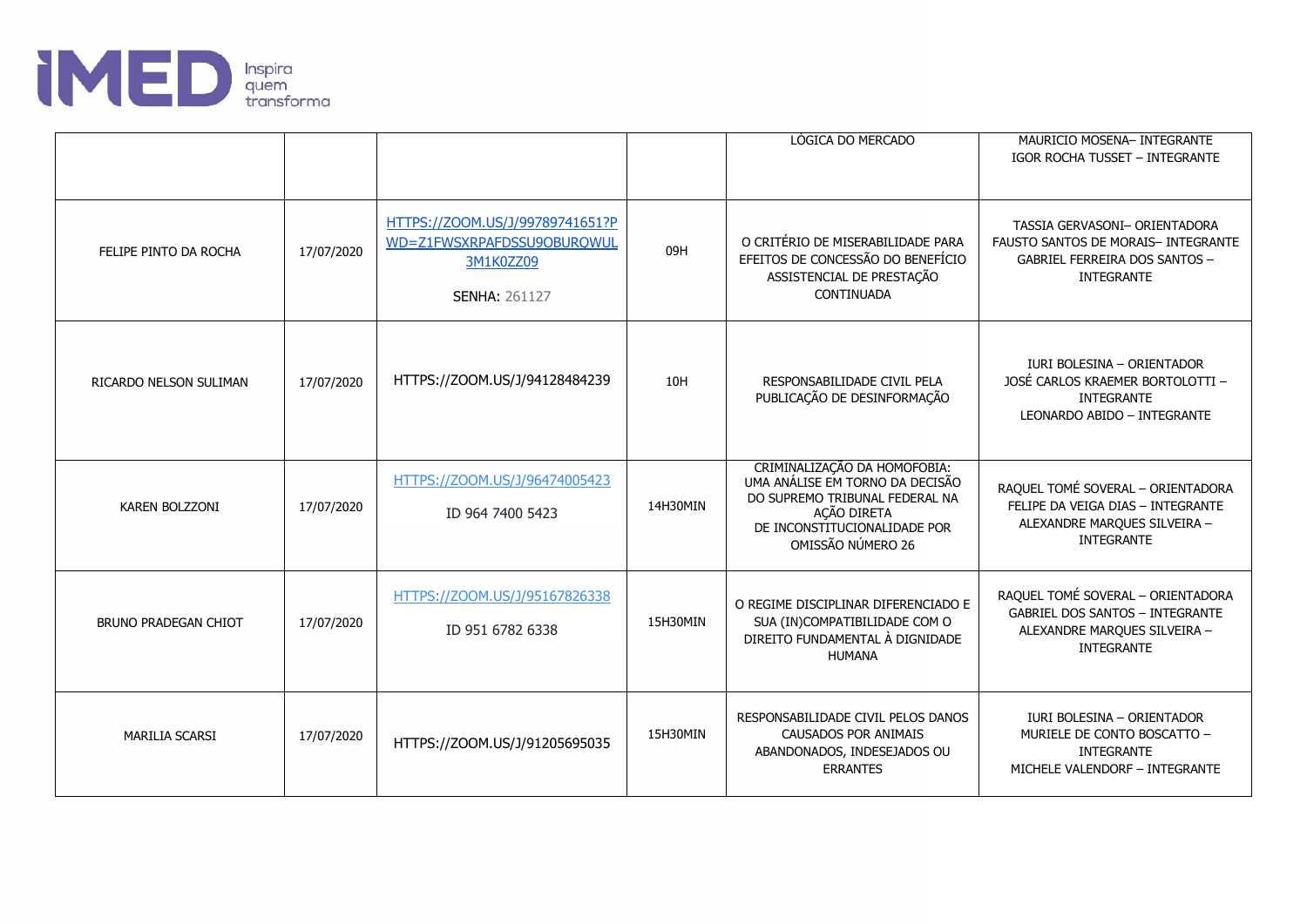

|                             |            |                                                                                                    |          | LÓGICA DO MERCADO                                                                                                                                                     | MAURICIO MOSENA- INTEGRANTE<br><b>IGOR ROCHA TUSSET - INTEGRANTE</b>                                                             |
|-----------------------------|------------|----------------------------------------------------------------------------------------------------|----------|-----------------------------------------------------------------------------------------------------------------------------------------------------------------------|----------------------------------------------------------------------------------------------------------------------------------|
| FELIPE PINTO DA ROCHA       | 17/07/2020 | HTTPS://ZOOM.US/J/99789741651?P<br>WD=Z1FWSXRPAFDSSU9OBURQWUL<br>3M1K0ZZ09<br><b>SENHA: 261127</b> | 09H      | O CRITÉRIO DE MISERABILIDADE PARA<br>EFEITOS DE CONCESSÃO DO BENEFÍCIO<br>ASSISTENCIAL DE PRESTAÇÃO<br>CONTINUADA                                                     | TASSIA GERVASONI- ORIENTADORA<br>FAUSTO SANTOS DE MORAIS- INTEGRANTE<br>GABRIEL FERREIRA DOS SANTOS -<br><b>INTEGRANTE</b>       |
| RICARDO NELSON SULIMAN      | 17/07/2020 | HTTPS://ZOOM.US/J/94128484239                                                                      | 10H      | RESPONSABILIDADE CIVIL PELA<br>PUBLICAÇÃO DE DESINFORMAÇÃO                                                                                                            | <b>IURI BOLESINA - ORIENTADOR</b><br>JOSÉ CARLOS KRAEMER BORTOLOTTI -<br><b>INTEGRANTE</b><br>LEONARDO ABIDO - INTEGRANTE        |
| KAREN BOLZZONI              | 17/07/2020 | HTTPS://ZOOM.US/J/96474005423<br>ID 964 7400 5423                                                  | 14H30MIN | CRIMINALIZAÇÃO DA HOMOFOBIA:<br>UMA ANÁLISE EM TORNO DA DECISÃO<br>DO SUPREMO TRIBUNAL FEDERAL NA<br>AÇÃO DIRETA<br>DE INCONSTITUCIONALIDADE POR<br>OMISSÃO NÚMERO 26 | RAQUEL TOMÉ SOVERAL - ORIENTADORA<br>FELIPE DA VEIGA DIAS - INTEGRANTE<br>ALEXANDRE MARQUES SILVEIRA -<br><b>INTEGRANTE</b>      |
| <b>BRUNO PRADEGAN CHIOT</b> | 17/07/2020 | HTTPS://ZOOM.US/J/95167826338<br>ID 951 6782 6338                                                  | 15H30MIN | O REGIME DISCIPLINAR DIFERENCIADO E<br>SUA (IN)COMPATIBILIDADE COM O<br>DIREITO FUNDAMENTAL À DIGNIDADE<br><b>HUMANA</b>                                              | RAQUEL TOMÉ SOVERAL - ORIENTADORA<br><b>GABRIEL DOS SANTOS - INTEGRANTE</b><br>ALEXANDRE MARQUES SILVEIRA -<br><b>INTEGRANTE</b> |
| <b>MARILIA SCARSI</b>       | 17/07/2020 | HTTPS://ZOOM.US/J/91205695035                                                                      | 15H30MIN | RESPONSABILIDADE CIVIL PELOS DANOS<br>CAUSADOS POR ANIMAIS<br>ABANDONADOS, INDESEJADOS OU<br><b>ERRANTES</b>                                                          | IURI BOLESINA - ORIENTADOR<br>MURIELE DE CONTO BOSCATTO -<br><b>INTEGRANTE</b><br>MICHELE VALENDORF - INTEGRANTE                 |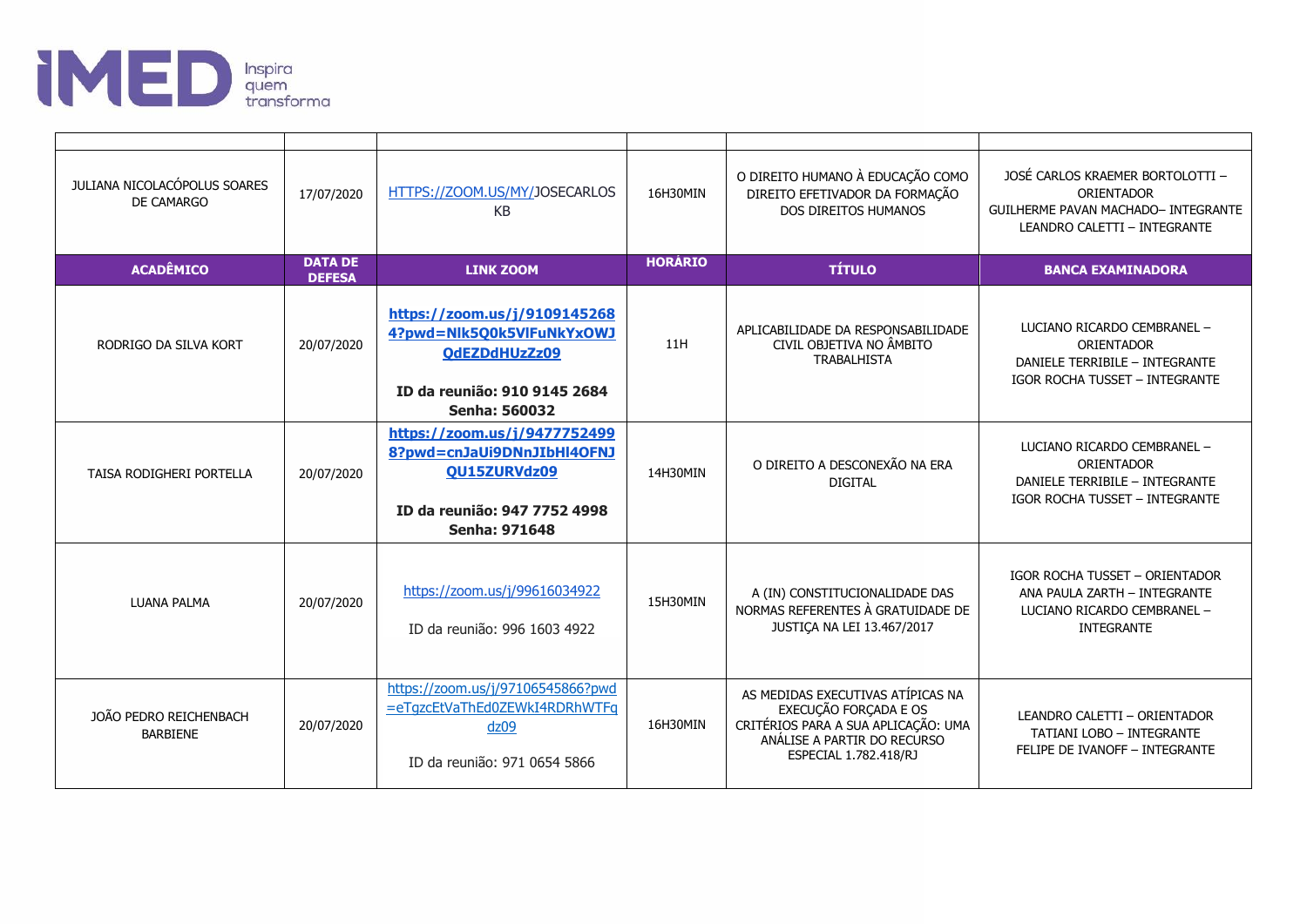

| JULIANA NICOLACÓPOLUS SOARES<br>DE CAMARGO | 17/07/2020                      | HTTPS://ZOOM.US/MY/JOSECARLOS<br><b>KB</b>                                                                                                | 16H30MIN       | O DIREITO HUMANO À EDUCAÇÃO COMO<br>DIREITO EFETIVADOR DA FORMAÇÃO<br>DOS DIREITOS HUMANOS                                                                | JOSÉ CARLOS KRAEMER BORTOLOTTI -<br>ORIENTADOR<br><b>GUILHERME PAVAN MACHADO- INTEGRANTE</b><br>LEANDRO CALETTI - INTEGRANTE |
|--------------------------------------------|---------------------------------|-------------------------------------------------------------------------------------------------------------------------------------------|----------------|-----------------------------------------------------------------------------------------------------------------------------------------------------------|------------------------------------------------------------------------------------------------------------------------------|
| <b>ACADÊMICO</b>                           | <b>DATA DE</b><br><b>DEFESA</b> | <b>LINK ZOOM</b>                                                                                                                          | <b>HORÁRIO</b> | <b>TÍTULO</b>                                                                                                                                             | <b>BANCA EXAMINADORA</b>                                                                                                     |
| RODRIGO DA SILVA KORT                      | 20/07/2020                      | https://zoom.us/j/9109145268<br>4?pwd=Nlk5Q0k5VlFuNkYxOWJ<br>QdEZDdHUzZz09<br>ID da reunião: 910 9145 2684<br><b>Senha: 560032</b>        | 11H            | APLICABILIDADE DA RESPONSABILIDADE<br>CIVIL OBJETIVA NO ÂMBITO<br><b>TRABALHISTA</b>                                                                      | LUCIANO RICARDO CEMBRANEL -<br>ORIENTADOR<br>DANIELE TERRIBILE - INTEGRANTE<br>IGOR ROCHA TUSSET - INTEGRANTE                |
| TAISA RODIGHERI PORTELLA                   | 20/07/2020                      | https://zoom.us/j/9477752499<br>8?pwd=cnJaUi9DNnJIbHl4OFNJ<br><b>OU15ZURVdz09</b><br>ID da reunião: 947 7752 4998<br><b>Senha: 971648</b> | 14H30MIN       | O DIREITO A DESCONEXÃO NA ERA<br><b>DIGITAL</b>                                                                                                           | LUCIANO RICARDO CEMBRANEL -<br>ORIENTADOR<br>DANIELE TERRIBILE - INTEGRANTE<br>IGOR ROCHA TUSSET - INTEGRANTE                |
| <b>LUANA PALMA</b>                         | 20/07/2020                      | https://zoom.us/j/99616034922<br>ID da reunião: 996 1603 4922                                                                             | 15H30MIN       | A (IN) CONSTITUCIONALIDADE DAS<br>NORMAS REFERENTES À GRATUIDADE DE<br>JUSTIÇA NA LEI 13.467/2017                                                         | <b>IGOR ROCHA TUSSET - ORIENTADOR</b><br>ANA PAULA ZARTH - INTEGRANTE<br>LUCIANO RICARDO CEMBRANEL -<br><b>INTEGRANTE</b>    |
| JOÃO PEDRO REICHENBACH<br><b>BARBIENE</b>  | 20/07/2020                      | https://zoom.us/j/97106545866?pwd<br>=eTgzcEtVaThEd0ZEWkI4RDRhWTFg<br>dz09<br>ID da reunião: 971 0654 5866                                | 16H30MIN       | AS MEDIDAS EXECUTIVAS ATÍPICAS NA<br>EXECUÇÃO FORÇADA E OS<br>CRITÉRIOS PARA A SUA APLICAÇÃO: UMA<br>ANÁLISE A PARTIR DO RECURSO<br>ESPECIAL 1.782.418/RJ | LEANDRO CALETTI - ORIENTADOR<br>TATIANI LOBO - INTEGRANTE<br>FELIPE DE IVANOFF - INTEGRANTE                                  |